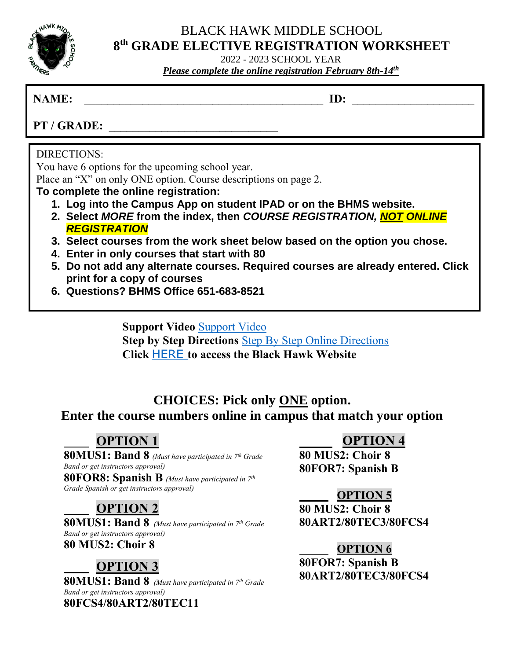

### BLACK HAWK MIDDLE SCHOOL **8 th GRADE ELECTIVE REGISTRATION WORKSHEET**

2022 - 2023 SCHOOL YEAR *Please complete the online registration February 8th-14<sup>th</sup>* 

### **NAME: ID:**  $\blacksquare$

**PT / GRADE:** 

### DIRECTIONS:

You have 6 options for the upcoming school year.

Place an "X" on only ONE option. Course descriptions on page 2.

**To complete the online registration:**

- **1. Log into the Campus App on student IPAD or on the BHMS website.**
- **2. Select** *MORE* **from the index, then** *COURSE REGISTRATION, NOT ONLINE REGISTRATION*
- **3. Select courses from the work sheet below based on the option you chose.**
- **4. Enter in only courses that start with 80**
- **5. Do not add any alternate courses. Required courses are already entered. Click print for a copy of courses**
- **6. Questions? BHMS Office 651-683-8521**

**Support Video** [Support Video](https://drive.google.com/file/d/1NOp12HKKifkGeC_-6pXgg586MAmuquVI/view?usp=sharing) **Step by Step Directions** [Step By Step Online Directions](https://drive.google.com/file/d/1fa_mBGM9assY66ue1cUBwmGMhVM2ZwfP/view?usp=sharing) **Click** [HERE](https://bhms.district196.org/academics/student-resources/course-registration) **to access the Black Hawk Website**

## **CHOICES: Pick only ONE option. Enter the course numbers online in campus that match your option**

# **OPTION 1**

**80MUS1: Band 8** *(Must have participated in 7th Grade Band or get instructors approval)* **80FOR8: Spanish B** *(Must have participated in 7th*

*Grade Spanish or get instructors approval)*

## **OPTION 2**

**80MUS1: Band 8** *(Must have participated in 7th Grade Band or get instructors approval)* **80 MUS2: Choir 8**

# **OPTION 3**

**80MUS1: Band 8** *(Must have participated in 7th Grade Band or get instructors approval)* **80FCS4/80ART2/80TEC11**

## **OPTION 4**

**80 MUS2: Choir 8 80FOR7: Spanish B**

### **OPTION 5**

**80 MUS2: Choir 8 80ART2/80TEC3/80FCS4**

### **OPTION 6**

**80FOR7: Spanish B 80ART2/80TEC3/80FCS4**